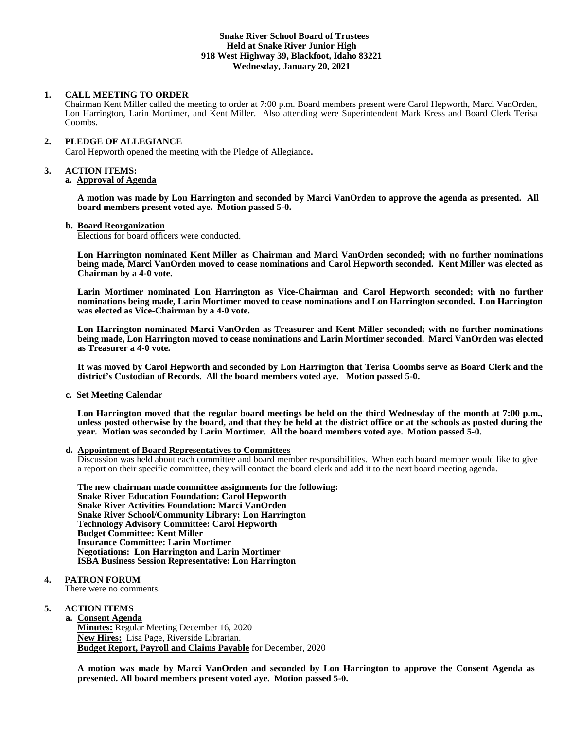# **Snake River School Board of Trustees Held at Snake River Junior High 918 West Highway 39, Blackfoot, Idaho 83221 Wednesday, January 20, 2021**

#### **1. CALL MEETING TO ORDER**

Chairman Kent Miller called the meeting to order at 7:00 p.m. Board members present were Carol Hepworth, Marci VanOrden, Lon Harrington, Larin Mortimer, and Kent Miller. Also attending were Superintendent Mark Kress and Board Clerk Terisa Coombs.

# **2. PLEDGE OF ALLEGIANCE**

Carol Hepworth opened the meeting with the Pledge of Allegiance**.** 

#### **3. ACTION ITEMS:**

#### **a. Approval of Agenda**

**A motion was made by Lon Harrington and seconded by Marci VanOrden to approve the agenda as presented. All board members present voted aye. Motion passed 5-0.**

#### **b. Board Reorganization**

Elections for board officers were conducted.

**Lon Harrington nominated Kent Miller as Chairman and Marci VanOrden seconded; with no further nominations being made, Marci VanOrden moved to cease nominations and Carol Hepworth seconded. Kent Miller was elected as Chairman by a 4-0 vote.**

**Larin Mortimer nominated Lon Harrington as Vice-Chairman and Carol Hepworth seconded; with no further nominations being made, Larin Mortimer moved to cease nominations and Lon Harrington seconded. Lon Harrington was elected as Vice-Chairman by a 4-0 vote.**

**Lon Harrington nominated Marci VanOrden as Treasurer and Kent Miller seconded; with no further nominations being made, Lon Harrington moved to cease nominations and Larin Mortimer seconded. Marci VanOrden was elected as Treasurer a 4-0 vote.**

**It was moved by Carol Hepworth and seconded by Lon Harrington that Terisa Coombs serve as Board Clerk and the district's Custodian of Records. All the board members voted aye. Motion passed 5-0.**

**c. Set Meeting Calendar**

**Lon Harrington moved that the regular board meetings be held on the third Wednesday of the month at 7:00 p.m., unless posted otherwise by the board, and that they be held at the district office or at the schools as posted during the year. Motion was seconded by Larin Mortimer. All the board members voted aye. Motion passed 5-0.**

#### **d. Appointment of Board Representatives to Committees**

Discussion was held about each committee and board member responsibilities. When each board member would like to give a report on their specific committee, they will contact the board clerk and add it to the next board meeting agenda.

**The new chairman made committee assignments for the following: Snake River Education Foundation: Carol Hepworth Snake River Activities Foundation: Marci VanOrden Snake River School/Community Library: Lon Harrington Technology Advisory Committee: Carol Hepworth Budget Committee: Kent Miller Insurance Committee: Larin Mortimer Negotiations: Lon Harrington and Larin Mortimer ISBA Business Session Representative: Lon Harrington**

# **4. PATRON FORUM**

There were no comments.

# **5. ACTION ITEMS**

**a. Consent Agenda Minutes:** Regular Meeting December 16, 2020 **New Hires:** Lisa Page, Riverside Librarian. **Budget Report, Payroll and Claims Payable** for December, 2020

**A motion was made by Marci VanOrden and seconded by Lon Harrington to approve the Consent Agenda as presented. All board members present voted aye. Motion passed 5-0.**